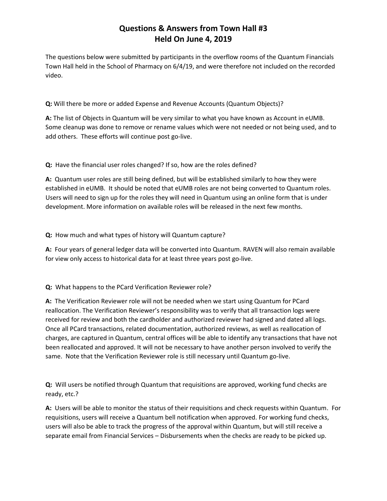## **Questions & Answers from Town Hall #3 Held On June 4, 2019**

The questions below were submitted by participants in the overflow rooms of the Quantum Financials Town Hall held in the School of Pharmacy on 6/4/19, and were therefore not included on the recorded video.

**Q:** Will there be more or added Expense and Revenue Accounts (Quantum Objects)?

**A:** The list of Objects in Quantum will be very similar to what you have known as Account in eUMB. Some cleanup was done to remove or rename values which were not needed or not being used, and to add others. These efforts will continue post go-live.

**Q:** Have the financial user roles changed? If so, how are the roles defined?

**A:** Quantum user roles are still being defined, but will be established similarly to how they were established in eUMB. It should be noted that eUMB roles are not being converted to Quantum roles. Users will need to sign up for the roles they will need in Quantum using an online form that is under development. More information on available roles will be released in the next few months.

## **Q:** How much and what types of history will Quantum capture?

**A:** Four years of general ledger data will be converted into Quantum. RAVEN will also remain available for view only access to historical data for at least three years post go-live.

## **Q:** What happens to the PCard Verification Reviewer role?

**A:** The Verification Reviewer role will not be needed when we start using Quantum for PCard reallocation. The Verification Reviewer's responsibility was to verify that all transaction logs were received for review and both the cardholder and authorized reviewer had signed and dated all logs. Once all PCard transactions, related documentation, authorized reviews, as well as reallocation of charges, are captured in Quantum, central offices will be able to identify any transactions that have not been reallocated and approved. It will not be necessary to have another person involved to verify the same. Note that the Verification Reviewer role is still necessary until Quantum go-live.

**Q:** Will users be notified through Quantum that requisitions are approved, working fund checks are ready, etc.?

**A:** Users will be able to monitor the status of their requisitions and check requests within Quantum. For requisitions, users will receive a Quantum bell notification when approved. For working fund checks, users will also be able to track the progress of the approval within Quantum, but will still receive a separate email from Financial Services – Disbursements when the checks are ready to be picked up.